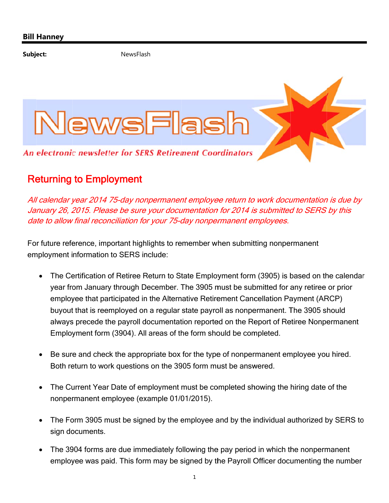Subject: NewsFlash



## Returning to Employment

All calendar year 2014 75-day nonpermanent employee return to work documentation is due by January 26, 2015. Please be sure your documentation for 2014 is submitted to SERS by this date to allow final reconciliation for your 75-day nonpermanent employees.

For future reference, important highlights to remember when submitting nonpermanent employment information to SERS include:

- The Certification of Retiree Return to State Employment form (3905) is based on the calendar year from January through December. The 3905 must be submitted for any retiree or prior employee that participated in the Alternative Retirement Cancellation Payment (ARCP) buyout that is reemployed on a regular state payroll as nonpermanent. The 3905 should always precede the payroll documentation reported on the Report of Retiree Nonpermanent Employment form (3904). All areas of the form should be completed.
- Be sure and check the appropriate box for the type of nonpermanent employee you hired. Both return to work questions on the 3905 form must be answered.
- The Current Year Date of employment must be completed showing the hiring date of the nonpermanent employee (example 01/01/2015).
- The Form 3905 must be signed by the employee and by the individual authorized by SERS to sign documents.
- The 3904 forms are due immediately following the pay period in which the nonpermanent employee was paid. This form may be signed by the Payroll Officer documenting the number